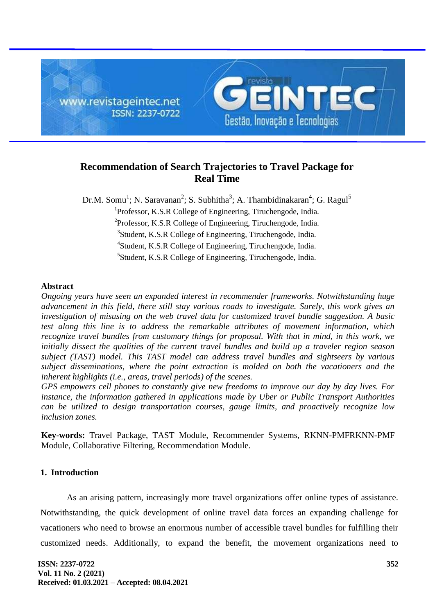

# **Recommendation of Search Trajectories to Travel Package for Real Time**

Dr.M. Somu<sup>1</sup>; N. Saravanan<sup>2</sup>; S. Subhitha<sup>3</sup>; A. Thambidinakaran<sup>4</sup>; G. Ragul<sup>5</sup> <sup>1</sup>Professor, K.S.R College of Engineering, Tiruchengode, India. <sup>2</sup>Professor, K.S.R College of Engineering, Tiruchengode, India. <sup>3</sup>Student, K.S.R College of Engineering, Tiruchengode, India. 4 Student, K.S.R College of Engineering, Tiruchengode, India.

<sup>5</sup>Student, K.S.R College of Engineering, Tiruchengode, India.

# **Abstract**

*Ongoing years have seen an expanded interest in recommender frameworks. Notwithstanding huge advancement in this field, there still stay various roads to investigate. Surely, this work gives an investigation of misusing on the web travel data for customized travel bundle suggestion. A basic test along this line is to address the remarkable attributes of movement information, which recognize travel bundles from customary things for proposal. With that in mind, in this work, we initially dissect the qualities of the current travel bundles and build up a traveler region season subject (TAST) model. This TAST model can address travel bundles and sightseers by various subject disseminations, where the point extraction is molded on both the vacationers and the inherent highlights (i.e., areas, travel periods) of the scenes.*

*GPS empowers cell phones to constantly give new freedoms to improve our day by day lives. For instance, the information gathered in applications made by Uber or Public Transport Authorities can be utilized to design transportation courses, gauge limits, and proactively recognize low inclusion zones.*

**Key-words:** Travel Package, TAST Module, Recommender Systems, RKNN-PMFRKNN-PMF Module, Collaborative Filtering, Recommendation Module.

# **1. Introduction**

As an arising pattern, increasingly more travel organizations offer online types of assistance. Notwithstanding, the quick development of online travel data forces an expanding challenge for vacationers who need to browse an enormous number of accessible travel bundles for fulfilling their customized needs. Additionally, to expand the benefit, the movement organizations need to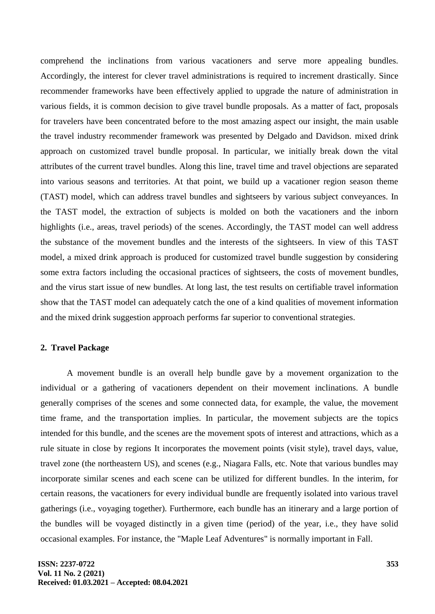comprehend the inclinations from various vacationers and serve more appealing bundles. Accordingly, the interest for clever travel administrations is required to increment drastically. Since recommender frameworks have been effectively applied to upgrade the nature of administration in various fields, it is common decision to give travel bundle proposals. As a matter of fact, proposals for travelers have been concentrated before to the most amazing aspect our insight, the main usable the travel industry recommender framework was presented by Delgado and Davidson. mixed drink approach on customized travel bundle proposal. In particular, we initially break down the vital attributes of the current travel bundles. Along this line, travel time and travel objections are separated into various seasons and territories. At that point, we build up a vacationer region season theme (TAST) model, which can address travel bundles and sightseers by various subject conveyances. In the TAST model, the extraction of subjects is molded on both the vacationers and the inborn highlights (i.e., areas, travel periods) of the scenes. Accordingly, the TAST model can well address the substance of the movement bundles and the interests of the sightseers. In view of this TAST model, a mixed drink approach is produced for customized travel bundle suggestion by considering some extra factors including the occasional practices of sightseers, the costs of movement bundles, and the virus start issue of new bundles. At long last, the test results on certifiable travel information show that the TAST model can adequately catch the one of a kind qualities of movement information and the mixed drink suggestion approach performs far superior to conventional strategies.

# **2. Travel Package**

A movement bundle is an overall help bundle gave by a movement organization to the individual or a gathering of vacationers dependent on their movement inclinations. A bundle generally comprises of the scenes and some connected data, for example, the value, the movement time frame, and the transportation implies. In particular, the movement subjects are the topics intended for this bundle, and the scenes are the movement spots of interest and attractions, which as a rule situate in close by regions It incorporates the movement points (visit style), travel days, value, travel zone (the northeastern US), and scenes (e.g., Niagara Falls, etc. Note that various bundles may incorporate similar scenes and each scene can be utilized for different bundles. In the interim, for certain reasons, the vacationers for every individual bundle are frequently isolated into various travel gatherings (i.e., voyaging together). Furthermore, each bundle has an itinerary and a large portion of the bundles will be voyaged distinctly in a given time (period) of the year, i.e., they have solid occasional examples. For instance, the "Maple Leaf Adventures" is normally important in Fall.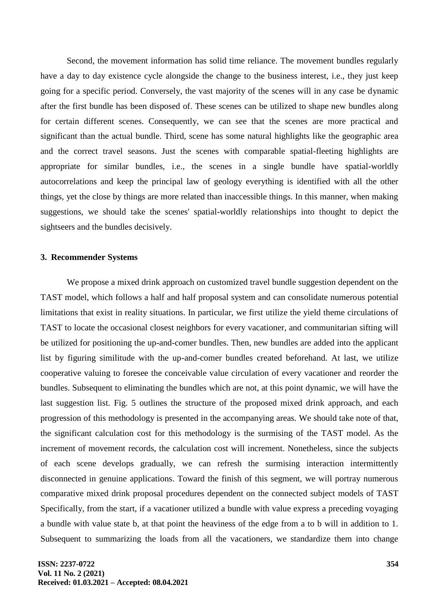Second, the movement information has solid time reliance. The movement bundles regularly have a day to day existence cycle alongside the change to the business interest, i.e., they just keep going for a specific period. Conversely, the vast majority of the scenes will in any case be dynamic after the first bundle has been disposed of. These scenes can be utilized to shape new bundles along for certain different scenes. Consequently, we can see that the scenes are more practical and significant than the actual bundle. Third, scene has some natural highlights like the geographic area and the correct travel seasons. Just the scenes with comparable spatial-fleeting highlights are appropriate for similar bundles, i.e., the scenes in a single bundle have spatial-worldly autocorrelations and keep the principal law of geology everything is identified with all the other things, yet the close by things are more related than inaccessible things. In this manner, when making suggestions, we should take the scenes' spatial-worldly relationships into thought to depict the sightseers and the bundles decisively.

#### **3. Recommender Systems**

We propose a mixed drink approach on customized travel bundle suggestion dependent on the TAST model, which follows a half and half proposal system and can consolidate numerous potential limitations that exist in reality situations. In particular, we first utilize the yield theme circulations of TAST to locate the occasional closest neighbors for every vacationer, and communitarian sifting will be utilized for positioning the up-and-comer bundles. Then, new bundles are added into the applicant list by figuring similitude with the up-and-comer bundles created beforehand. At last, we utilize cooperative valuing to foresee the conceivable value circulation of every vacationer and reorder the bundles. Subsequent to eliminating the bundles which are not, at this point dynamic, we will have the last suggestion list. Fig. 5 outlines the structure of the proposed mixed drink approach, and each progression of this methodology is presented in the accompanying areas. We should take note of that, the significant calculation cost for this methodology is the surmising of the TAST model. As the increment of movement records, the calculation cost will increment. Nonetheless, since the subjects of each scene develops gradually, we can refresh the surmising interaction intermittently disconnected in genuine applications. Toward the finish of this segment, we will portray numerous comparative mixed drink proposal procedures dependent on the connected subject models of TAST Specifically, from the start, if a vacationer utilized a bundle with value express a preceding voyaging a bundle with value state b, at that point the heaviness of the edge from a to b will in addition to 1. Subsequent to summarizing the loads from all the vacationers, we standardize them into change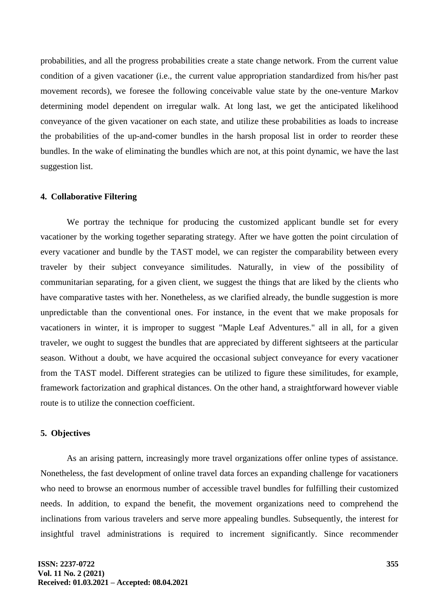probabilities, and all the progress probabilities create a state change network. From the current value condition of a given vacationer (i.e., the current value appropriation standardized from his/her past movement records), we foresee the following conceivable value state by the one-venture Markov determining model dependent on irregular walk. At long last, we get the anticipated likelihood conveyance of the given vacationer on each state, and utilize these probabilities as loads to increase the probabilities of the up-and-comer bundles in the harsh proposal list in order to reorder these bundles. In the wake of eliminating the bundles which are not, at this point dynamic, we have the last suggestion list.

### **4. Collaborative Filtering**

We portray the technique for producing the customized applicant bundle set for every vacationer by the working together separating strategy. After we have gotten the point circulation of every vacationer and bundle by the TAST model, we can register the comparability between every traveler by their subject conveyance similitudes. Naturally, in view of the possibility of communitarian separating, for a given client, we suggest the things that are liked by the clients who have comparative tastes with her. Nonetheless, as we clarified already, the bundle suggestion is more unpredictable than the conventional ones. For instance, in the event that we make proposals for vacationers in winter, it is improper to suggest "Maple Leaf Adventures." all in all, for a given traveler, we ought to suggest the bundles that are appreciated by different sightseers at the particular season. Without a doubt, we have acquired the occasional subject conveyance for every vacationer from the TAST model. Different strategies can be utilized to figure these similitudes, for example, framework factorization and graphical distances. On the other hand, a straightforward however viable route is to utilize the connection coefficient.

# **5. Objectives**

As an arising pattern, increasingly more travel organizations offer online types of assistance. Nonetheless, the fast development of online travel data forces an expanding challenge for vacationers who need to browse an enormous number of accessible travel bundles for fulfilling their customized needs. In addition, to expand the benefit, the movement organizations need to comprehend the inclinations from various travelers and serve more appealing bundles. Subsequently, the interest for insightful travel administrations is required to increment significantly. Since recommender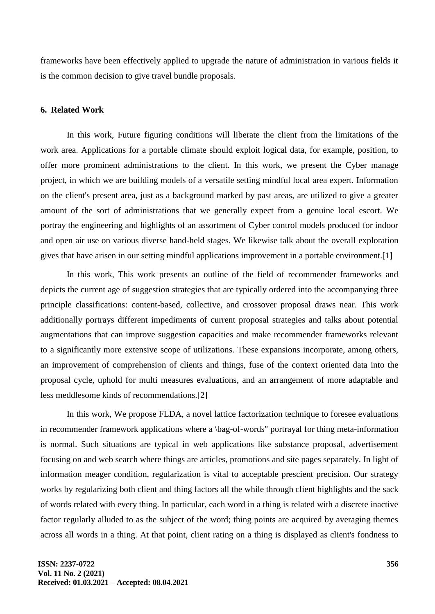frameworks have been effectively applied to upgrade the nature of administration in various fields it is the common decision to give travel bundle proposals.

# **6. Related Work**

In this work, Future figuring conditions will liberate the client from the limitations of the work area. Applications for a portable climate should exploit logical data, for example, position, to offer more prominent administrations to the client. In this work, we present the Cyber manage project, in which we are building models of a versatile setting mindful local area expert. Information on the client's present area, just as a background marked by past areas, are utilized to give a greater amount of the sort of administrations that we generally expect from a genuine local escort. We portray the engineering and highlights of an assortment of Cyber control models produced for indoor and open air use on various diverse hand-held stages. We likewise talk about the overall exploration gives that have arisen in our setting mindful applications improvement in a portable environment.[1]

In this work, This work presents an outline of the field of recommender frameworks and depicts the current age of suggestion strategies that are typically ordered into the accompanying three principle classifications: content-based, collective, and crossover proposal draws near. This work additionally portrays different impediments of current proposal strategies and talks about potential augmentations that can improve suggestion capacities and make recommender frameworks relevant to a significantly more extensive scope of utilizations. These expansions incorporate, among others, an improvement of comprehension of clients and things, fuse of the context oriented data into the proposal cycle, uphold for multi measures evaluations, and an arrangement of more adaptable and less meddlesome kinds of recommendations.[2]

In this work, We propose FLDA, a novel lattice factorization technique to foresee evaluations in recommender framework applications where a \bag-of-words" portrayal for thing meta-information is normal. Such situations are typical in web applications like substance proposal, advertisement focusing on and web search where things are articles, promotions and site pages separately. In light of information meager condition, regularization is vital to acceptable prescient precision. Our strategy works by regularizing both client and thing factors all the while through client highlights and the sack of words related with every thing. In particular, each word in a thing is related with a discrete inactive factor regularly alluded to as the subject of the word; thing points are acquired by averaging themes across all words in a thing. At that point, client rating on a thing is displayed as client's fondness to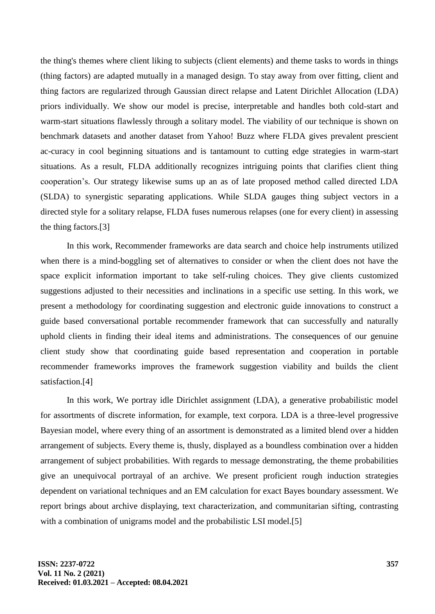the thing's themes where client liking to subjects (client elements) and theme tasks to words in things (thing factors) are adapted mutually in a managed design. To stay away from over fitting, client and thing factors are regularized through Gaussian direct relapse and Latent Dirichlet Allocation (LDA) priors individually. We show our model is precise, interpretable and handles both cold-start and warm-start situations flawlessly through a solitary model. The viability of our technique is shown on benchmark datasets and another dataset from Yahoo! Buzz where FLDA gives prevalent prescient ac-curacy in cool beginning situations and is tantamount to cutting edge strategies in warm-start situations. As a result, FLDA additionally recognizes intriguing points that clarifies client thing cooperation's. Our strategy likewise sums up an as of late proposed method called directed LDA (SLDA) to synergistic separating applications. While SLDA gauges thing subject vectors in a directed style for a solitary relapse, FLDA fuses numerous relapses (one for every client) in assessing the thing factors.[3]

In this work, Recommender frameworks are data search and choice help instruments utilized when there is a mind-boggling set of alternatives to consider or when the client does not have the space explicit information important to take self-ruling choices. They give clients customized suggestions adjusted to their necessities and inclinations in a specific use setting. In this work, we present a methodology for coordinating suggestion and electronic guide innovations to construct a guide based conversational portable recommender framework that can successfully and naturally uphold clients in finding their ideal items and administrations. The consequences of our genuine client study show that coordinating guide based representation and cooperation in portable recommender frameworks improves the framework suggestion viability and builds the client satisfaction.[4]

In this work, We portray idle Dirichlet assignment (LDA), a generative probabilistic model for assortments of discrete information, for example, text corpora. LDA is a three-level progressive Bayesian model, where every thing of an assortment is demonstrated as a limited blend over a hidden arrangement of subjects. Every theme is, thusly, displayed as a boundless combination over a hidden arrangement of subject probabilities. With regards to message demonstrating, the theme probabilities give an unequivocal portrayal of an archive. We present proficient rough induction strategies dependent on variational techniques and an EM calculation for exact Bayes boundary assessment. We report brings about archive displaying, text characterization, and communitarian sifting, contrasting with a combination of unigrams model and the probabilistic LSI model.<sup>[5]</sup>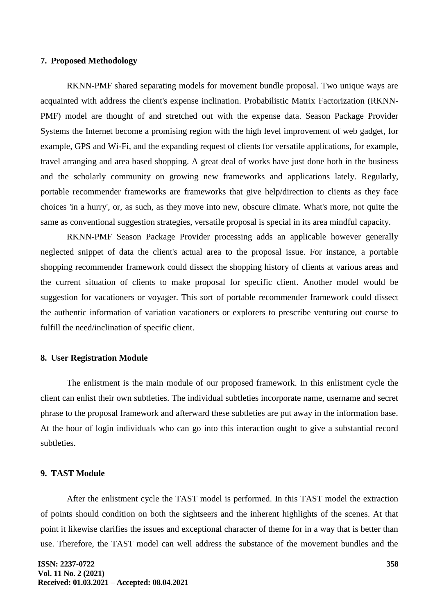### **7. Proposed Methodology**

RKNN-PMF shared separating models for movement bundle proposal. Two unique ways are acquainted with address the client's expense inclination. Probabilistic Matrix Factorization (RKNN-PMF) model are thought of and stretched out with the expense data. Season Package Provider Systems the Internet become a promising region with the high level improvement of web gadget, for example, GPS and Wi-Fi, and the expanding request of clients for versatile applications, for example, travel arranging and area based shopping. A great deal of works have just done both in the business and the scholarly community on growing new frameworks and applications lately. Regularly, portable recommender frameworks are frameworks that give help/direction to clients as they face choices 'in a hurry', or, as such, as they move into new, obscure climate. What's more, not quite the same as conventional suggestion strategies, versatile proposal is special in its area mindful capacity.

RKNN-PMF Season Package Provider processing adds an applicable however generally neglected snippet of data the client's actual area to the proposal issue. For instance, a portable shopping recommender framework could dissect the shopping history of clients at various areas and the current situation of clients to make proposal for specific client. Another model would be suggestion for vacationers or voyager. This sort of portable recommender framework could dissect the authentic information of variation vacationers or explorers to prescribe venturing out course to fulfill the need/inclination of specific client.

#### **8. User Registration Module**

The enlistment is the main module of our proposed framework. In this enlistment cycle the client can enlist their own subtleties. The individual subtleties incorporate name, username and secret phrase to the proposal framework and afterward these subtleties are put away in the information base. At the hour of login individuals who can go into this interaction ought to give a substantial record subtleties.

### **9. TAST Module**

After the enlistment cycle the TAST model is performed. In this TAST model the extraction of points should condition on both the sightseers and the inherent highlights of the scenes. At that point it likewise clarifies the issues and exceptional character of theme for in a way that is better than use. Therefore, the TAST model can well address the substance of the movement bundles and the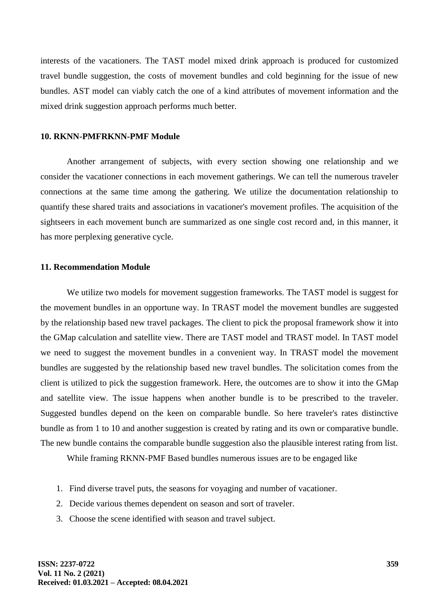interests of the vacationers. The TAST model mixed drink approach is produced for customized travel bundle suggestion, the costs of movement bundles and cold beginning for the issue of new bundles. AST model can viably catch the one of a kind attributes of movement information and the mixed drink suggestion approach performs much better.

#### **10. RKNN-PMFRKNN-PMF Module**

Another arrangement of subjects, with every section showing one relationship and we consider the vacationer connections in each movement gatherings. We can tell the numerous traveler connections at the same time among the gathering. We utilize the documentation relationship to quantify these shared traits and associations in vacationer's movement profiles. The acquisition of the sightseers in each movement bunch are summarized as one single cost record and, in this manner, it has more perplexing generative cycle.

# **11. Recommendation Module**

We utilize two models for movement suggestion frameworks. The TAST model is suggest for the movement bundles in an opportune way. In TRAST model the movement bundles are suggested by the relationship based new travel packages. The client to pick the proposal framework show it into the GMap calculation and satellite view. There are TAST model and TRAST model. In TAST model we need to suggest the movement bundles in a convenient way. In TRAST model the movement bundles are suggested by the relationship based new travel bundles. The solicitation comes from the client is utilized to pick the suggestion framework. Here, the outcomes are to show it into the GMap and satellite view. The issue happens when another bundle is to be prescribed to the traveler. Suggested bundles depend on the keen on comparable bundle. So here traveler's rates distinctive bundle as from 1 to 10 and another suggestion is created by rating and its own or comparative bundle. The new bundle contains the comparable bundle suggestion also the plausible interest rating from list.

While framing RKNN-PMF Based bundles numerous issues are to be engaged like

- 1. Find diverse travel puts, the seasons for voyaging and number of vacationer.
- 2. Decide various themes dependent on season and sort of traveler.
- 3. Choose the scene identified with season and travel subject.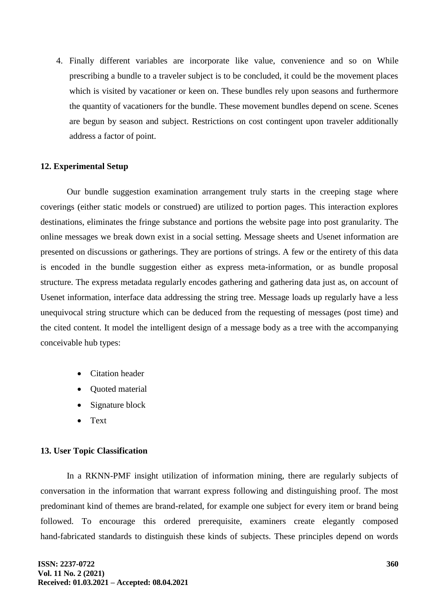4. Finally different variables are incorporate like value, convenience and so on While prescribing a bundle to a traveler subject is to be concluded, it could be the movement places which is visited by vacationer or keen on. These bundles rely upon seasons and furthermore the quantity of vacationers for the bundle. These movement bundles depend on scene. Scenes are begun by season and subject. Restrictions on cost contingent upon traveler additionally address a factor of point.

# **12. Experimental Setup**

Our bundle suggestion examination arrangement truly starts in the creeping stage where coverings (either static models or construed) are utilized to portion pages. This interaction explores destinations, eliminates the fringe substance and portions the website page into post granularity. The online messages we break down exist in a social setting. Message sheets and Usenet information are presented on discussions or gatherings. They are portions of strings. A few or the entirety of this data is encoded in the bundle suggestion either as express meta-information, or as bundle proposal structure. The express metadata regularly encodes gathering and gathering data just as, on account of Usenet information, interface data addressing the string tree. Message loads up regularly have a less unequivocal string structure which can be deduced from the requesting of messages (post time) and the cited content. It model the intelligent design of a message body as a tree with the accompanying conceivable hub types:

- Citation header
- Quoted material
- Signature block
- Text

# **13. User Topic Classification**

In a RKNN-PMF insight utilization of information mining, there are regularly subjects of conversation in the information that warrant express following and distinguishing proof. The most predominant kind of themes are brand-related, for example one subject for every item or brand being followed. To encourage this ordered prerequisite, examiners create elegantly composed hand-fabricated standards to distinguish these kinds of subjects. These principles depend on words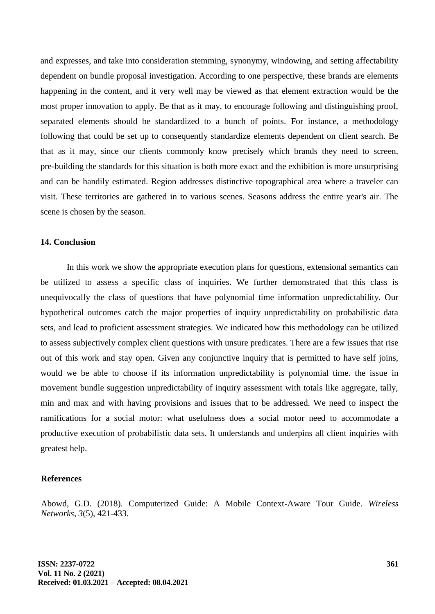and expresses, and take into consideration stemming, synonymy, windowing, and setting affectability dependent on bundle proposal investigation. According to one perspective, these brands are elements happening in the content, and it very well may be viewed as that element extraction would be the most proper innovation to apply. Be that as it may, to encourage following and distinguishing proof, separated elements should be standardized to a bunch of points. For instance, a methodology following that could be set up to consequently standardize elements dependent on client search. Be that as it may, since our clients commonly know precisely which brands they need to screen, pre-building the standards for this situation is both more exact and the exhibition is more unsurprising and can be handily estimated. Region addresses distinctive topographical area where a traveler can visit. These territories are gathered in to various scenes. Seasons address the entire year's air. The scene is chosen by the season.

### **14. Conclusion**

In this work we show the appropriate execution plans for questions, extensional semantics can be utilized to assess a specific class of inquiries. We further demonstrated that this class is unequivocally the class of questions that have polynomial time information unpredictability. Our hypothetical outcomes catch the major properties of inquiry unpredictability on probabilistic data sets, and lead to proficient assessment strategies. We indicated how this methodology can be utilized to assess subjectively complex client questions with unsure predicates. There are a few issues that rise out of this work and stay open. Given any conjunctive inquiry that is permitted to have self joins, would we be able to choose if its information unpredictability is polynomial time. the issue in movement bundle suggestion unpredictability of inquiry assessment with totals like aggregate, tally, min and max and with having provisions and issues that to be addressed. We need to inspect the ramifications for a social motor: what usefulness does a social motor need to accommodate a productive execution of probabilistic data sets. It understands and underpins all client inquiries with greatest help.

### **References**

Abowd, G.D. (2018). Computerized Guide: A Mobile Context-Aware Tour Guide. *Wireless Networks, 3*(5), 421-433.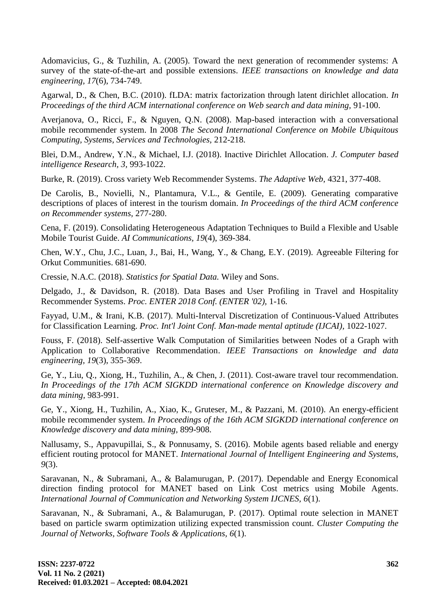Adomavicius, G., & Tuzhilin, A. (2005). Toward the next generation of recommender systems: A survey of the state-of-the-art and possible extensions. *IEEE transactions on knowledge and data engineering, 17*(6), 734-749.

Agarwal, D., & Chen, B.C. (2010). fLDA: matrix factorization through latent dirichlet allocation. *In Proceedings of the third ACM international conference on Web search and data mining,* 91-100.

Averjanova, O., Ricci, F., & Nguyen, Q.N. (2008). Map-based interaction with a conversational mobile recommender system. In 2008 *The Second International Conference on Mobile Ubiquitous Computing, Systems, Services and Technologies,* 212-218.

Blei, D.M., Andrew, Y.N., & Michael, I.J. (2018). Inactive Dirichlet Allocation. *J. Computer based intelligence Research, 3,* 993-1022.

Burke, R. (2019). Cross variety Web Recommender Systems. *The Adaptive Web,* 4321, 377-408.

De Carolis, B., Novielli, N., Plantamura, V.L., & Gentile, E. (2009). Generating comparative descriptions of places of interest in the tourism domain. *In Proceedings of the third ACM conference on Recommender systems,* 277-280.

Cena, F. (2019). Consolidating Heterogeneous Adaptation Techniques to Build a Flexible and Usable Mobile Tourist Guide. *AI Communications, 19*(4), 369-384.

Chen, W.Y., Chu, J.C., Luan, J., Bai, H., Wang, Y., & Chang, E.Y. (2019). Agreeable Filtering for Orkut Communities. 681-690.

Cressie, N.A.C. (2018). *Statistics for Spatial Data.* Wiley and Sons.

Delgado, J., & Davidson, R. (2018). Data Bases and User Profiling in Travel and Hospitality Recommender Systems. *Proc. ENTER 2018 Conf. (ENTER '02),* 1-16.

Fayyad, U.M., & Irani, K.B. (2017). Multi-Interval Discretization of Continuous-Valued Attributes for Classification Learning. *Proc. Int'l Joint Conf. Man-made mental aptitude (IJCAI),* 1022-1027.

Fouss, F. (2018). Self-assertive Walk Computation of Similarities between Nodes of a Graph with Application to Collaborative Recommendation. *IEEE Transactions on knowledge and data engineering, 19*(3), 355-369.

Ge, Y., Liu, Q., Xiong, H., Tuzhilin, A., & Chen, J. (2011). Cost-aware travel tour recommendation. *In Proceedings of the 17th ACM SIGKDD international conference on Knowledge discovery and data mining,* 983-991.

Ge, Y., Xiong, H., Tuzhilin, A., Xiao, K., Gruteser, M., & Pazzani, M. (2010). An energy-efficient mobile recommender system. *In Proceedings of the 16th ACM SIGKDD international conference on Knowledge discovery and data mining,* 899-908.

Nallusamy, S., Appavupillai, S., & Ponnusamy, S. (2016). Mobile agents based reliable and energy efficient routing protocol for MANET. *International Journal of Intelligent Engineering and Systems, 9*(3).

Saravanan, N., & Subramani, A., & Balamurugan, P. (2017). Dependable and Energy Economical direction finding protocol for MANET based on Link Cost metrics using Mobile Agents. *International Journal of Communication and Networking System IJCNES, 6*(1).

Saravanan, N., & Subramani, A., & Balamurugan, P. (2017). Optimal route selection in MANET based on particle swarm optimization utilizing expected transmission count. *Cluster Computing the Journal of Networks, Software Tools & Applications, 6*(1).